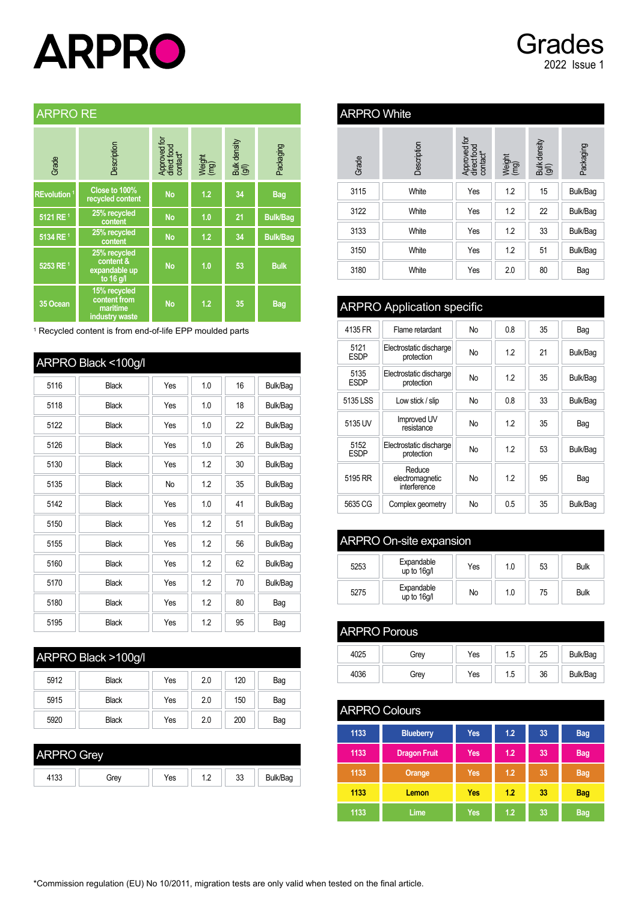# **ARPRO**

# Grades 2022 Issue 1

#### [ARPRO RE](https://www.arpro.com/en-GB/technical)

| Grade                   | Description                                                | Approved for<br>direct food<br>contact* | Weight<br>(mg) | Bulk density<br>(g/l) | Packaging       |
|-------------------------|------------------------------------------------------------|-----------------------------------------|----------------|-----------------------|-----------------|
| REvolution <sup>1</sup> | Close to 100%<br>recycled content                          | <b>No</b>                               | 1.2            | 34                    | <b>Bag</b>      |
| 5121 RE <sup>1</sup>    | 25% recycled<br>content                                    | <b>No</b>                               | 1.0            | 21                    | <b>Bulk/Bag</b> |
| 5134 RE <sup>1</sup>    | 25% recycled<br>content                                    | <b>No</b>                               | 1.2            | 34                    | <b>Bulk/Bag</b> |
| 5253 RE <sup>1</sup>    | 25% recycled<br>content &<br>expandable up<br>to 16 g/l    | <b>No</b>                               | 1.0            | 53                    | <b>Bulk</b>     |
| 35 Ocean                | 15% recycled<br>content from<br>maritime<br>industry waste | <b>No</b>                               | 1.2            | 35                    | <b>Bag</b>      |

1 Recycled content is from end-of-life EPP moulded parts

|      | ARPRO Black <100g/l |     |     |    |          |
|------|---------------------|-----|-----|----|----------|
| 5116 | <b>Black</b>        | Yes | 1.0 | 16 | Bulk/Bag |
| 5118 | <b>Black</b>        | Yes | 1.0 | 18 | Bulk/Bag |
| 5122 | <b>Black</b>        | Yes | 1.0 | 22 | Bulk/Bag |
| 5126 | <b>Black</b>        | Yes | 1.0 | 26 | Bulk/Bag |
| 5130 | <b>Black</b>        | Yes | 1.2 | 30 | Bulk/Bag |
| 5135 | <b>Black</b>        | No  | 1.2 | 35 | Bulk/Bag |
| 5142 | <b>Black</b>        | Yes | 1.0 | 41 | Bulk/Bag |
| 5150 | <b>Black</b>        | Yes | 1.2 | 51 | Bulk/Bag |
| 5155 | <b>Black</b>        | Yes | 1.2 | 56 | Bulk/Bag |
| 5160 | <b>Black</b>        | Yes | 1.2 | 62 | Bulk/Bag |
| 5170 | <b>Black</b>        | Yes | 1.2 | 70 | Bulk/Bag |
| 5180 | <b>Black</b>        | Yes | 1.2 | 80 | Bag      |
| 5195 | <b>Black</b>        | Yes | 1.2 | 95 | Bag      |

| ARPRO Black >100g/l |              |     |     |     |     |
|---------------------|--------------|-----|-----|-----|-----|
| 5912                | <b>Black</b> | Yes | 2.0 | 120 | Bag |
| 5915                | <b>Black</b> | Yes | 2.0 | 150 | Bag |
| 5920                | <b>Black</b> | Yes | 2.0 | 200 | Bag |

| <b>ARPRO</b><br><b><i>G</i>rev</b> |      |     |         |          |          |  |  |  |
|------------------------------------|------|-----|---------|----------|----------|--|--|--|
| 4133                               | Grev | Yes | $\cdot$ | 22<br>აა | Bulk/Bag |  |  |  |

## [ARPRO White](https://www.arpro.com/en-GB/technical)

| Grade | Description | Approved for<br>direct food<br>contact* | Weight<br>(mg) | Bulk density<br>(g/l) | Packaging |  |  |
|-------|-------------|-----------------------------------------|----------------|-----------------------|-----------|--|--|
| 3115  | White       | Yes                                     | 1.2            | 15                    | Bulk/Bag  |  |  |
| 3122  | White       | Yes                                     | 1.2            | 22                    | Bulk/Bag  |  |  |
| 3133  | White       | Yes                                     | 1.2            | 33                    | Bulk/Bag  |  |  |
| 3150  | White       | Yes                                     | 1.2            | 51                    | Bulk/Bag  |  |  |
| 3180  | White       | Yes                                     | 2.0            | 80                    | Bag       |  |  |

### ARPRO [Application](https://www.arpro.com/en-GB/technical) specific

| 4135 FR             | Flame retardant                           | <b>No</b> | 0.8 | 35 | Bag      |
|---------------------|-------------------------------------------|-----------|-----|----|----------|
| 5121<br><b>ESDP</b> | Electrostatic discharge<br>protection     | No        | 12  | 21 | Bulk/Bag |
| 5135<br><b>ESDP</b> | Electrostatic discharge<br>protection     | <b>No</b> | 12  | 35 | Bulk/Bag |
| 5135 LSS            | Low stick / slip                          | <b>No</b> | 0.8 | 33 | Bulk/Bag |
| 5135 UV             | Improved UV<br>resistance                 | <b>No</b> | 12  | 35 | Bag      |
| 5152<br><b>ESDP</b> | Electrostatic discharge<br>protection     | <b>No</b> | 1.2 | 53 | Bulk/Bag |
| 5195 RR             | Reduce<br>electromagnetic<br>interference | No        | 12  | 95 | Bag      |
| 5635 CG             | Complex geometry                          | <b>No</b> | 0.5 | 35 | Bulk/Bag |

| ARPRO On-site expansion |                           |     |    |    |             |  |  |  |  |  |  |
|-------------------------|---------------------------|-----|----|----|-------------|--|--|--|--|--|--|
| 5253                    | Expandable<br>up to 16q/l | Yes | 10 | 53 | <b>Bulk</b> |  |  |  |  |  |  |
| 5275                    | Expandable<br>up to 16q/l | No  | 10 | 75 | <b>Bulk</b> |  |  |  |  |  |  |

| <b>ARPRO Porous</b> |      |     |     |    |          |  |  |  |  |
|---------------------|------|-----|-----|----|----------|--|--|--|--|
| 4025                | Grev | Yes | 1.5 | 25 | Bulk/Bag |  |  |  |  |
| 4036                | Grev | Yes | 1.5 | 36 | Bulk/Bag |  |  |  |  |

| <b>ARPRO Colours</b> |                     |            |     |    |            |  |  |  |  |  |  |
|----------------------|---------------------|------------|-----|----|------------|--|--|--|--|--|--|
| 1133                 | <b>Blueberry</b>    | Yes        | 1.2 | 33 | <b>Bag</b> |  |  |  |  |  |  |
| 1133                 | <b>Dragon Fruit</b> | Yes        | 1.2 | 33 | <b>Bag</b> |  |  |  |  |  |  |
| 1133                 | Orange              | <b>Yes</b> | 1.2 | 33 | <b>Bag</b> |  |  |  |  |  |  |
| 1133                 | Lemon               | Yes        | 1.2 | 33 | <b>Bag</b> |  |  |  |  |  |  |
| 1133                 | Lime                | <b>Yes</b> | 1.2 | 33 | <b>Bag</b> |  |  |  |  |  |  |